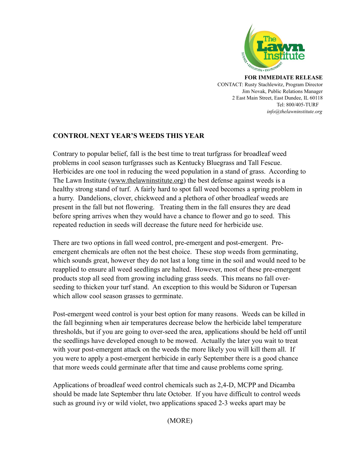

**FOR IMMEDIATE RELEASE** CONTACT: Rusty Stachlewitz, Program Director Jim Novak, Public Relations Manager 2 East Main Street, East Dundee, IL 60118 Tel: 800/405-TURF *info@thelawninstitute.org*

## **CONTROL NEXT YEAR'S WEEDS THIS YEAR**

Contrary to popular belief, fall is the best time to treat turfgrass for broadleaf weed problems in cool season turfgrasses such as Kentucky Bluegrass and Tall Fescue. Herbicides are one tool in reducing the weed population in a stand of grass. According to The Lawn Institute [\(www.thelawninstitute.org\)](http://www.thelawninstitute.org/) the best defense against weeds is a healthy strong stand of turf. A fairly hard to spot fall weed becomes a spring problem in a hurry. Dandelions, clover, chickweed and a plethora of other broadleaf weeds are present in the fall but not flowering. Treating them in the fall ensures they are dead before spring arrives when they would have a chance to flower and go to seed. This repeated reduction in seeds will decrease the future need for herbicide use.

There are two options in fall weed control, pre-emergent and post-emergent. Preemergent chemicals are often not the best choice. These stop weeds from germinating, which sounds great, however they do not last a long time in the soil and would need to be reapplied to ensure all weed seedlings are halted. However, most of these pre-emergent products stop all seed from growing including grass seeds. This means no fall overseeding to thicken your turf stand. An exception to this would be Siduron or Tupersan which allow cool season grasses to germinate.

Post-emergent weed control is your best option for many reasons. Weeds can be killed in the fall beginning when air temperatures decrease below the herbicide label temperature thresholds, but if you are going to over-seed the area, applications should be held off until the seedlings have developed enough to be mowed. Actually the later you wait to treat with your post-emergent attack on the weeds the more likely you will kill them all. If you were to apply a post-emergent herbicide in early September there is a good chance that more weeds could germinate after that time and cause problems come spring.

Applications of broadleaf weed control chemicals such as 2,4-D, MCPP and Dicamba should be made late September thru late October. If you have difficult to control weeds such as ground ivy or wild violet, two applications spaced 2-3 weeks apart may be

(MORE)